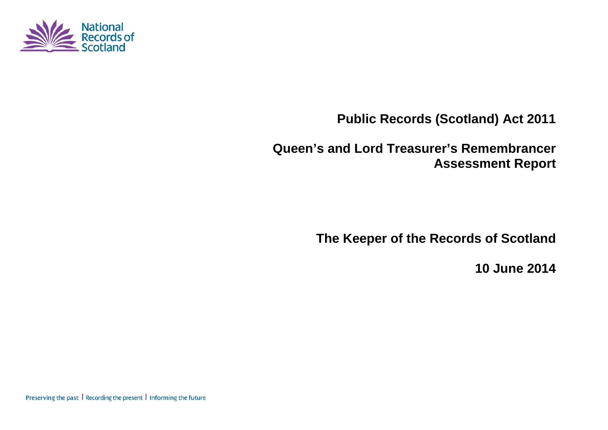

**Public Records (Scotland) Act 2011**

**Queen's and Lord Treasurer's Remembrancer Assessment Report**

**The Keeper of the Records of Scotland**

**10 June 2014**

Preserving the past | Recording the present | Informing the future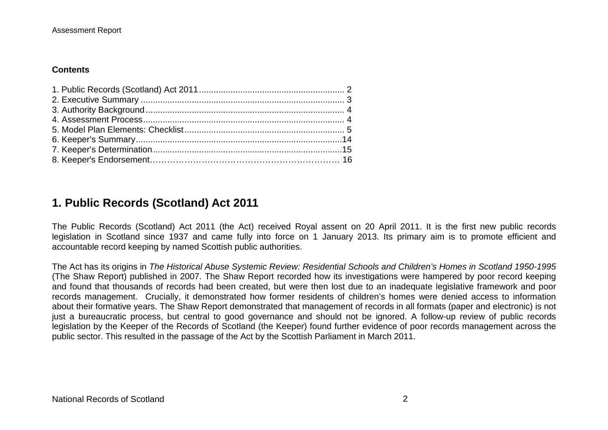#### **Contents**

## **1. Public Records (Scotland) Act 2011**

The Public Records (Scotland) Act 2011 (the Act) received Royal assent on 20 April 2011. It is the first new public records legislation in Scotland since 1937 and came fully into force on 1 January 2013. Its primary aim is to promote efficient and accountable record keeping by named Scottish public authorities.

The Act has its origins in *The Historical Abuse Systemic Review: Residential Schools and Children's Homes in Scotland 1950-1995* (The Shaw Report) published in 2007. The Shaw Report recorded how its investigations were hampered by poor record keeping and found that thousands of records had been created, but were then lost due to an inadequate legislative framework and poor records management. Crucially, it demonstrated how former residents of children's homes were denied access to information about their formative years. The Shaw Report demonstrated that management of records in all formats (paper and electronic) is not just a bureaucratic process, but central to good governance and should not be ignored. A follow-up review of public records legislation by the Keeper of the Records of Scotland (the Keeper) found further evidence of poor records management across the public sector. This resulted in the passage of the Act by the Scottish Parliament in March 2011.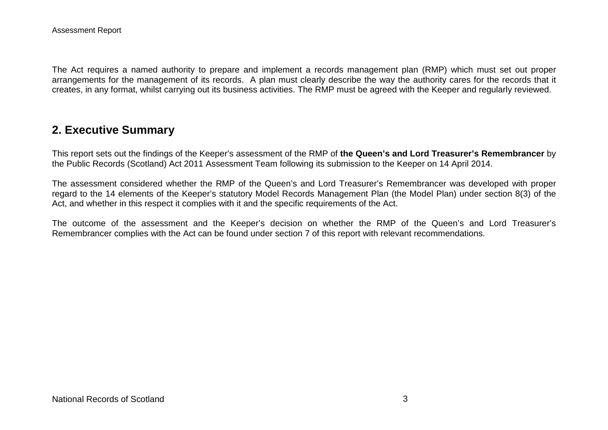The Act requires a named authority to prepare and implement a records management plan (RMP) which must set out proper arrangements for the management of its records. A plan must clearly describe the way the authority cares for the records that it creates, in any format, whilst carrying out its business activities. The RMP must be agreed with the Keeper and regularly reviewed.

## **2. Executive Summary**

This report sets out the findings of the Keeper's assessment of the RMP of **the Queen's and Lord Treasurer's Remembrancer** by the Public Records (Scotland) Act 2011 Assessment Team following its submission to the Keeper on 14 April 2014.

The assessment considered whether the RMP of the Queen's and Lord Treasurer's Remembrancer was developed with proper regard to the 14 elements of the Keeper's statutory Model Records Management Plan (the Model Plan) under section 8(3) of the Act, and whether in this respect it complies with it and the specific requirements of the Act.

The outcome of the assessment and the Keeper's decision on whether the RMP of the Queen's and Lord Treasurer's Remembrancer complies with the Act can be found under section 7 of this report with relevant recommendations.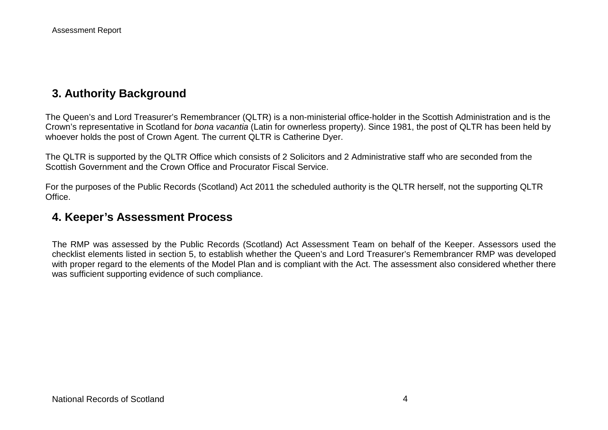## **3. Authority Background**

The Queen's and Lord Treasurer's Remembrancer (QLTR) is a non-ministerial office-holder in the Scottish Administration and is the Crown's representative in Scotland for *bona vacantia* (Latin for ownerless property). Since 1981, the post of QLTR has been held by whoever holds the post of Crown Agent. The current QLTR is Catherine Dyer.

The QLTR is supported by the QLTR Office which consists of 2 Solicitors and 2 Administrative staff who are seconded from the Scottish Government and the Crown Office and Procurator Fiscal Service.

For the purposes of the Public Records (Scotland) Act 2011 the scheduled authority is the QLTR herself, not the supporting QLTR Office.

### **4. Keeper's Assessment Process**

The RMP was assessed by the Public Records (Scotland) Act Assessment Team on behalf of the Keeper. Assessors used the checklist elements listed in section 5, to establish whether the Queen's and Lord Treasurer's Remembrancer RMP was developed with proper regard to the elements of the Model Plan and is compliant with the Act. The assessment also considered whether there was sufficient supporting evidence of such compliance.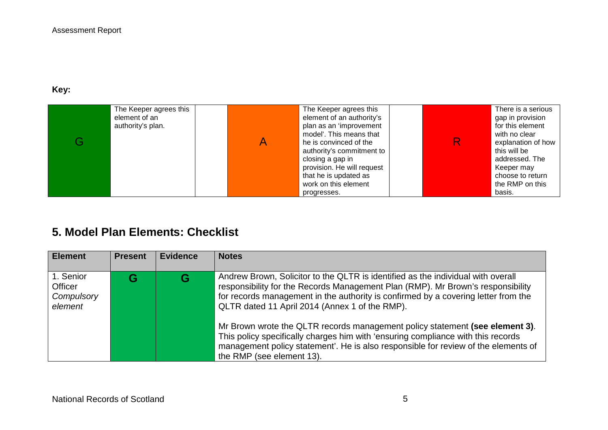**Key:** 

| The Keeper agrees this<br>element of an<br>authority's plan. | The Keeper agrees this<br>element of an authority's<br>plan as an 'improvement<br>model'. This means that<br>he is convinced of the<br>authority's commitment to<br>closing a gap in<br>provision. He will request<br>that he is updated as<br>work on this element | R. | There is a serious<br>gap in provision<br>for this element<br>with no clear<br>explanation of how<br>this will be<br>addressed. The<br>Keeper may<br>choose to return<br>the RMP on this |
|--------------------------------------------------------------|---------------------------------------------------------------------------------------------------------------------------------------------------------------------------------------------------------------------------------------------------------------------|----|------------------------------------------------------------------------------------------------------------------------------------------------------------------------------------------|
|                                                              | progresses.                                                                                                                                                                                                                                                         |    | basis.                                                                                                                                                                                   |

# **5. Model Plan Elements: Checklist**

| <b>Element</b>                                | <b>Present</b> | <b>Evidence</b> | <b>Notes</b>                                                                                                                                                                                                                                                                                                                                                                                                                                                                                                                                                                                       |
|-----------------------------------------------|----------------|-----------------|----------------------------------------------------------------------------------------------------------------------------------------------------------------------------------------------------------------------------------------------------------------------------------------------------------------------------------------------------------------------------------------------------------------------------------------------------------------------------------------------------------------------------------------------------------------------------------------------------|
| 1. Senior<br>Officer<br>Compulsory<br>element |                |                 | Andrew Brown, Solicitor to the QLTR is identified as the individual with overall<br>responsibility for the Records Management Plan (RMP). Mr Brown's responsibility<br>for records management in the authority is confirmed by a covering letter from the<br>QLTR dated 11 April 2014 (Annex 1 of the RMP).<br>Mr Brown wrote the QLTR records management policy statement (see element 3).<br>This policy specifically charges him with 'ensuring compliance with this records<br>management policy statement'. He is also responsible for review of the elements of<br>the RMP (see element 13). |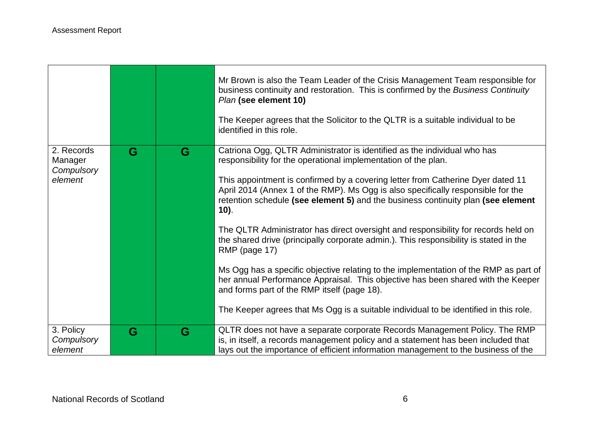|                                                |   |   | Mr Brown is also the Team Leader of the Crisis Management Team responsible for<br>business continuity and restoration. This is confirmed by the Business Continuity<br>Plan (see element 10)<br>The Keeper agrees that the Solicitor to the QLTR is a suitable individual to be<br>identified in this role.                                                                                                                                                                                            |
|------------------------------------------------|---|---|--------------------------------------------------------------------------------------------------------------------------------------------------------------------------------------------------------------------------------------------------------------------------------------------------------------------------------------------------------------------------------------------------------------------------------------------------------------------------------------------------------|
| 2. Records<br>Manager<br>Compulsory<br>element | G | G | Catriona Ogg, QLTR Administrator is identified as the individual who has<br>responsibility for the operational implementation of the plan.<br>This appointment is confirmed by a covering letter from Catherine Dyer dated 11<br>April 2014 (Annex 1 of the RMP). Ms Ogg is also specifically responsible for the<br>retention schedule (see element 5) and the business continuity plan (see element<br>$10$ ).<br>The QLTR Administrator has direct oversight and responsibility for records held on |
|                                                |   |   | the shared drive (principally corporate admin.). This responsibility is stated in the<br>RMP (page 17)<br>Ms Ogg has a specific objective relating to the implementation of the RMP as part of<br>her annual Performance Appraisal. This objective has been shared with the Keeper<br>and forms part of the RMP itself (page 18).<br>The Keeper agrees that Ms Ogg is a suitable individual to be identified in this role.                                                                             |
| 3. Policy<br>Compulsory<br>element             | G | G | QLTR does not have a separate corporate Records Management Policy. The RMP<br>is, in itself, a records management policy and a statement has been included that<br>lays out the importance of efficient information management to the business of the                                                                                                                                                                                                                                                  |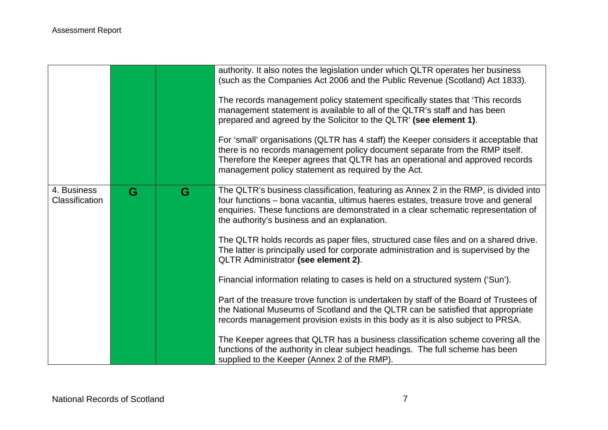|                               |   |   | authority. It also notes the legislation under which QLTR operates her business<br>(such as the Companies Act 2006 and the Public Revenue (Scotland) Act 1833).<br>The records management policy statement specifically states that 'This records'<br>management statement is available to all of the QLTR's staff and has been<br>prepared and agreed by the Solicitor to the QLTR' (see element 1).<br>For 'small' organisations (QLTR has 4 staff) the Keeper considers it acceptable that<br>there is no records management policy document separate from the RMP itself.<br>Therefore the Keeper agrees that QLTR has an operational and approved records<br>management policy statement as required by the Act. |
|-------------------------------|---|---|-----------------------------------------------------------------------------------------------------------------------------------------------------------------------------------------------------------------------------------------------------------------------------------------------------------------------------------------------------------------------------------------------------------------------------------------------------------------------------------------------------------------------------------------------------------------------------------------------------------------------------------------------------------------------------------------------------------------------|
| 4. Business<br>Classification | G | G | The QLTR's business classification, featuring as Annex 2 in the RMP, is divided into<br>four functions – bona vacantia, ultimus haeres estates, treasure trove and general<br>enquiries. These functions are demonstrated in a clear schematic representation of<br>the authority's business and an explanation.<br>The QLTR holds records as paper files, structured case files and on a shared drive.<br>The latter is principally used for corporate administration and is supervised by the<br>QLTR Administrator (see element 2).<br>Financial information relating to cases is held on a structured system ('Sun').                                                                                             |
|                               |   |   | Part of the treasure trove function is undertaken by staff of the Board of Trustees of<br>the National Museums of Scotland and the QLTR can be satisfied that appropriate<br>records management provision exists in this body as it is also subject to PRSA.<br>The Keeper agrees that QLTR has a business classification scheme covering all the<br>functions of the authority in clear subject headings. The full scheme has been<br>supplied to the Keeper (Annex 2 of the RMP).                                                                                                                                                                                                                                   |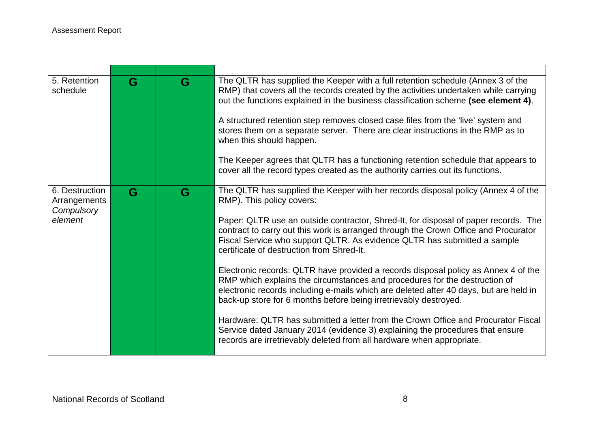| 5. Retention<br>schedule                                | G | G | The QLTR has supplied the Keeper with a full retention schedule (Annex 3 of the<br>RMP) that covers all the records created by the activities undertaken while carrying<br>out the functions explained in the business classification scheme (see element 4).<br>A structured retention step removes closed case files from the 'live' system and<br>stores them on a separate server. There are clear instructions in the RMP as to<br>when this should happen.<br>The Keeper agrees that QLTR has a functioning retention schedule that appears to<br>cover all the record types created as the authority carries out its functions.                                                                                                                                                                                                                                                                                                                                                                |
|---------------------------------------------------------|---|---|-------------------------------------------------------------------------------------------------------------------------------------------------------------------------------------------------------------------------------------------------------------------------------------------------------------------------------------------------------------------------------------------------------------------------------------------------------------------------------------------------------------------------------------------------------------------------------------------------------------------------------------------------------------------------------------------------------------------------------------------------------------------------------------------------------------------------------------------------------------------------------------------------------------------------------------------------------------------------------------------------------|
| 6. Destruction<br>Arrangements<br>Compulsory<br>element | G | G | The QLTR has supplied the Keeper with her records disposal policy (Annex 4 of the<br>RMP). This policy covers:<br>Paper: QLTR use an outside contractor, Shred-It, for disposal of paper records. The<br>contract to carry out this work is arranged through the Crown Office and Procurator<br>Fiscal Service who support QLTR. As evidence QLTR has submitted a sample<br>certificate of destruction from Shred-It.<br>Electronic records: QLTR have provided a records disposal policy as Annex 4 of the<br>RMP which explains the circumstances and procedures for the destruction of<br>electronic records including e-mails which are deleted after 40 days, but are held in<br>back-up store for 6 months before being irretrievably destroyed.<br>Hardware: QLTR has submitted a letter from the Crown Office and Procurator Fiscal<br>Service dated January 2014 (evidence 3) explaining the procedures that ensure<br>records are irretrievably deleted from all hardware when appropriate. |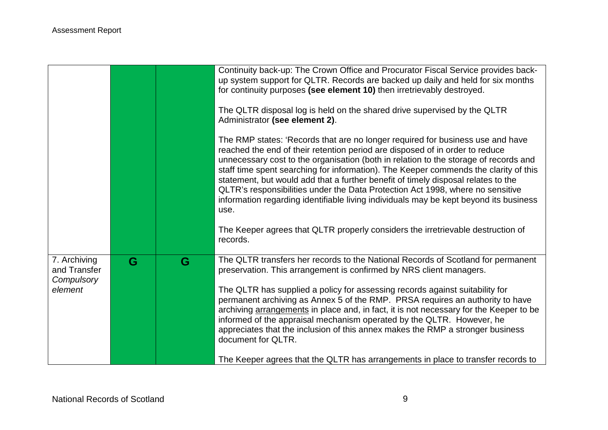|                                            |   |   | Continuity back-up: The Crown Office and Procurator Fiscal Service provides back-<br>up system support for QLTR. Records are backed up daily and held for six months<br>for continuity purposes (see element 10) then irretrievably destroyed.<br>The QLTR disposal log is held on the shared drive supervised by the QLTR<br>Administrator (see element 2).                                                                                                                                                                                                                                                           |
|--------------------------------------------|---|---|------------------------------------------------------------------------------------------------------------------------------------------------------------------------------------------------------------------------------------------------------------------------------------------------------------------------------------------------------------------------------------------------------------------------------------------------------------------------------------------------------------------------------------------------------------------------------------------------------------------------|
|                                            |   |   | The RMP states: 'Records that are no longer required for business use and have<br>reached the end of their retention period are disposed of in order to reduce<br>unnecessary cost to the organisation (both in relation to the storage of records and<br>staff time spent searching for information). The Keeper commends the clarity of this<br>statement, but would add that a further benefit of timely disposal relates to the<br>QLTR's responsibilities under the Data Protection Act 1998, where no sensitive<br>information regarding identifiable living individuals may be kept beyond its business<br>use. |
|                                            |   |   | The Keeper agrees that QLTR properly considers the irretrievable destruction of<br>records.                                                                                                                                                                                                                                                                                                                                                                                                                                                                                                                            |
| 7. Archiving<br>and Transfer<br>Compulsory | G | G | The QLTR transfers her records to the National Records of Scotland for permanent<br>preservation. This arrangement is confirmed by NRS client managers.                                                                                                                                                                                                                                                                                                                                                                                                                                                                |
| element                                    |   |   | The QLTR has supplied a policy for assessing records against suitability for<br>permanent archiving as Annex 5 of the RMP. PRSA requires an authority to have<br>archiving arrangements in place and, in fact, it is not necessary for the Keeper to be<br>informed of the appraisal mechanism operated by the QLTR. However, he<br>appreciates that the inclusion of this annex makes the RMP a stronger business<br>document for QLTR.                                                                                                                                                                               |
|                                            |   |   | The Keeper agrees that the QLTR has arrangements in place to transfer records to                                                                                                                                                                                                                                                                                                                                                                                                                                                                                                                                       |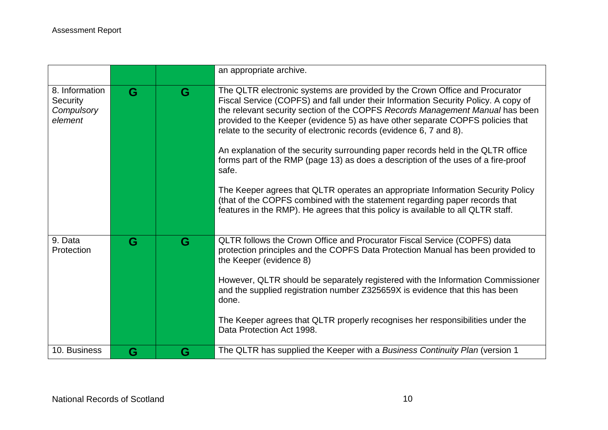|                                                            |   |   | an appropriate archive.                                                                                                                                                                                                                                                                                                                                                                                                                                                                                                                                                                                                                                                                                                                                                                                                                             |
|------------------------------------------------------------|---|---|-----------------------------------------------------------------------------------------------------------------------------------------------------------------------------------------------------------------------------------------------------------------------------------------------------------------------------------------------------------------------------------------------------------------------------------------------------------------------------------------------------------------------------------------------------------------------------------------------------------------------------------------------------------------------------------------------------------------------------------------------------------------------------------------------------------------------------------------------------|
| 8. Information<br><b>Security</b><br>Compulsory<br>element | G | G | The QLTR electronic systems are provided by the Crown Office and Procurator<br>Fiscal Service (COPFS) and fall under their Information Security Policy. A copy of<br>the relevant security section of the COPFS Records Management Manual has been<br>provided to the Keeper (evidence 5) as have other separate COPFS policies that<br>relate to the security of electronic records (evidence 6, 7 and 8).<br>An explanation of the security surrounding paper records held in the QLTR office<br>forms part of the RMP (page 13) as does a description of the uses of a fire-proof<br>safe.<br>The Keeper agrees that QLTR operates an appropriate Information Security Policy<br>(that of the COPFS combined with the statement regarding paper records that<br>features in the RMP). He agrees that this policy is available to all QLTR staff. |
| 9. Data<br>Protection                                      | G | G | QLTR follows the Crown Office and Procurator Fiscal Service (COPFS) data<br>protection principles and the COPFS Data Protection Manual has been provided to<br>the Keeper (evidence 8)<br>However, QLTR should be separately registered with the Information Commissioner<br>and the supplied registration number Z325659X is evidence that this has been<br>done.<br>The Keeper agrees that QLTR properly recognises her responsibilities under the<br>Data Protection Act 1998.                                                                                                                                                                                                                                                                                                                                                                   |
| 10. Business                                               | G | G | The QLTR has supplied the Keeper with a Business Continuity Plan (version 1                                                                                                                                                                                                                                                                                                                                                                                                                                                                                                                                                                                                                                                                                                                                                                         |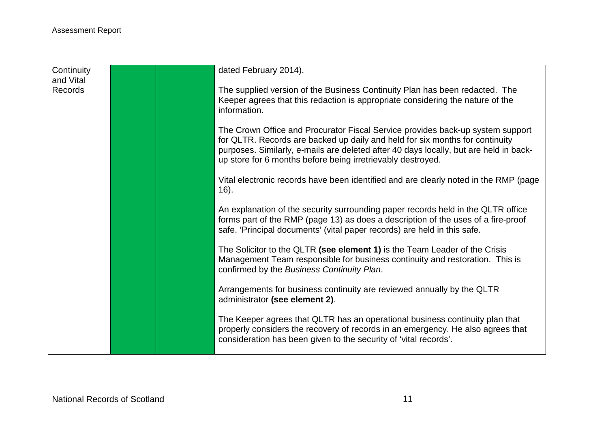| Continuity     |  | dated February 2014).                                                                                                                                                                                                                                                                                                  |
|----------------|--|------------------------------------------------------------------------------------------------------------------------------------------------------------------------------------------------------------------------------------------------------------------------------------------------------------------------|
| and Vital      |  |                                                                                                                                                                                                                                                                                                                        |
| <b>Records</b> |  | The supplied version of the Business Continuity Plan has been redacted. The<br>Keeper agrees that this redaction is appropriate considering the nature of the<br>information.                                                                                                                                          |
|                |  | The Crown Office and Procurator Fiscal Service provides back-up system support<br>for QLTR. Records are backed up daily and held for six months for continuity<br>purposes. Similarly, e-mails are deleted after 40 days locally, but are held in back-<br>up store for 6 months before being irretrievably destroyed. |
|                |  | Vital electronic records have been identified and are clearly noted in the RMP (page<br>$16$ ).                                                                                                                                                                                                                        |
|                |  | An explanation of the security surrounding paper records held in the QLTR office<br>forms part of the RMP (page 13) as does a description of the uses of a fire-proof<br>safe. 'Principal documents' (vital paper records) are held in this safe.                                                                      |
|                |  | The Solicitor to the QLTR (see element 1) is the Team Leader of the Crisis<br>Management Team responsible for business continuity and restoration. This is<br>confirmed by the Business Continuity Plan.                                                                                                               |
|                |  | Arrangements for business continuity are reviewed annually by the QLTR<br>administrator (see element 2).                                                                                                                                                                                                               |
|                |  | The Keeper agrees that QLTR has an operational business continuity plan that<br>properly considers the recovery of records in an emergency. He also agrees that<br>consideration has been given to the security of 'vital records'.                                                                                    |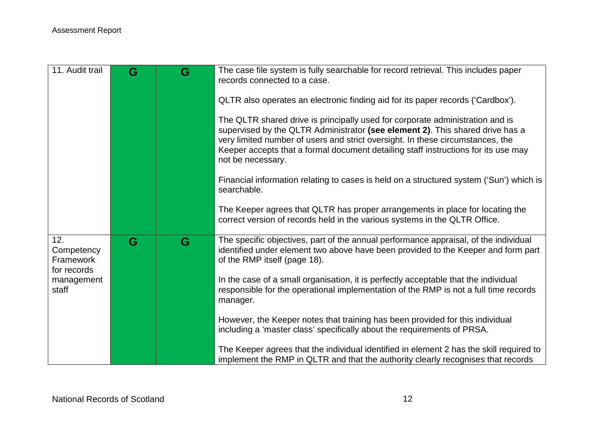| 11. Audit trail                                                      | G | G | The case file system is fully searchable for record retrieval. This includes paper<br>records connected to a case.<br>QLTR also operates an electronic finding aid for its paper records ('Cardbox').<br>The QLTR shared drive is principally used for corporate administration and is<br>supervised by the QLTR Administrator (see element 2). This shared drive has a<br>very limited number of users and strict oversight. In these circumstances, the<br>Keeper accepts that a formal document detailing staff instructions for its use may<br>not be necessary.<br>Financial information relating to cases is held on a structured system ('Sun') which is |
|----------------------------------------------------------------------|---|---|-----------------------------------------------------------------------------------------------------------------------------------------------------------------------------------------------------------------------------------------------------------------------------------------------------------------------------------------------------------------------------------------------------------------------------------------------------------------------------------------------------------------------------------------------------------------------------------------------------------------------------------------------------------------|
|                                                                      |   |   | searchable.<br>The Keeper agrees that QLTR has proper arrangements in place for locating the<br>correct version of records held in the various systems in the QLTR Office.                                                                                                                                                                                                                                                                                                                                                                                                                                                                                      |
| 12.<br>Competency<br>Framework<br>for records<br>management<br>staff | G | G | The specific objectives, part of the annual performance appraisal, of the individual<br>identified under element two above have been provided to the Keeper and form part<br>of the RMP itself (page 18).<br>In the case of a small organisation, it is perfectly acceptable that the individual<br>responsible for the operational implementation of the RMP is not a full time records<br>manager.                                                                                                                                                                                                                                                            |
|                                                                      |   |   | However, the Keeper notes that training has been provided for this individual<br>including a 'master class' specifically about the requirements of PRSA.<br>The Keeper agrees that the individual identified in element 2 has the skill required to<br>implement the RMP in QLTR and that the authority clearly recognises that records                                                                                                                                                                                                                                                                                                                         |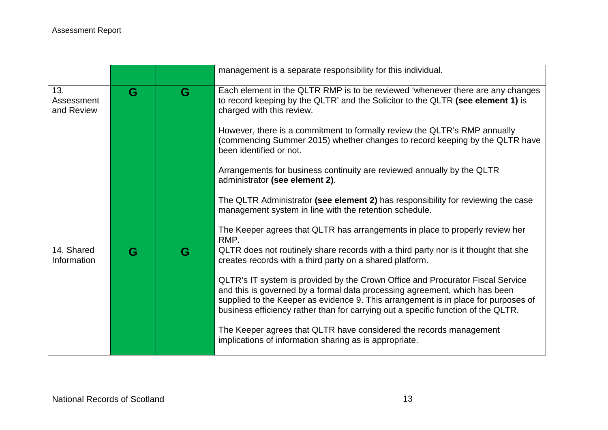|                                 |   |   | management is a separate responsibility for this individual.                                                                                                                                                                                                                                                                                                                                                                                                                                                                                                                                                               |
|---------------------------------|---|---|----------------------------------------------------------------------------------------------------------------------------------------------------------------------------------------------------------------------------------------------------------------------------------------------------------------------------------------------------------------------------------------------------------------------------------------------------------------------------------------------------------------------------------------------------------------------------------------------------------------------------|
| 13.<br>Assessment<br>and Review | G | G | Each element in the QLTR RMP is to be reviewed 'whenever there are any changes<br>to record keeping by the QLTR' and the Solicitor to the QLTR (see element 1) is<br>charged with this review.<br>However, there is a commitment to formally review the QLTR's RMP annually<br>(commencing Summer 2015) whether changes to record keeping by the QLTR have<br>been identified or not.<br>Arrangements for business continuity are reviewed annually by the QLTR                                                                                                                                                            |
|                                 |   |   | administrator (see element 2).<br>The QLTR Administrator (see element 2) has responsibility for reviewing the case<br>management system in line with the retention schedule.<br>The Keeper agrees that QLTR has arrangements in place to properly review her<br>RMP.                                                                                                                                                                                                                                                                                                                                                       |
| 14. Shared<br>Information       | G | G | QLTR does not routinely share records with a third party nor is it thought that she<br>creates records with a third party on a shared platform.<br>QLTR's IT system is provided by the Crown Office and Procurator Fiscal Service<br>and this is governed by a formal data processing agreement, which has been<br>supplied to the Keeper as evidence 9. This arrangement is in place for purposes of<br>business efficiency rather than for carrying out a specific function of the QLTR.<br>The Keeper agrees that QLTR have considered the records management<br>implications of information sharing as is appropriate. |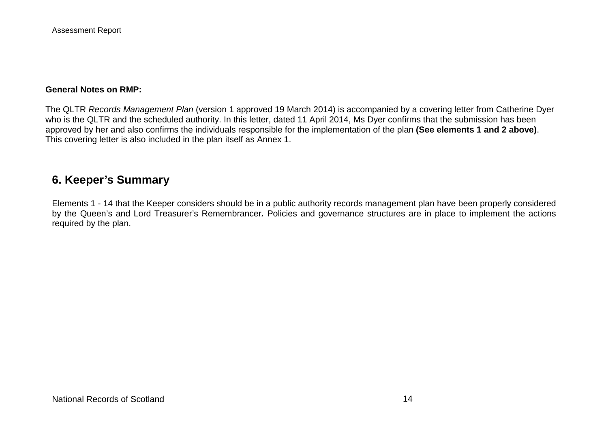Assessment Report

#### **General Notes on RMP:**

The QLTR *Records Management Plan* (version 1 approved 19 March 2014) is accompanied by a covering letter from Catherine Dyer who is the QLTR and the scheduled authority. In this letter, dated 11 April 2014, Ms Dyer confirms that the submission has been approved by her and also confirms the individuals responsible for the implementation of the plan **(See elements 1 and 2 above)**. This covering letter is also included in the plan itself as Annex 1.

## **6. Keeper's Summary**

Elements 1 - 14 that the Keeper considers should be in a public authority records management plan have been properly considered by the Queen's and Lord Treasurer's Remembrancer*.* Policies and governance structures are in place to implement the actions required by the plan.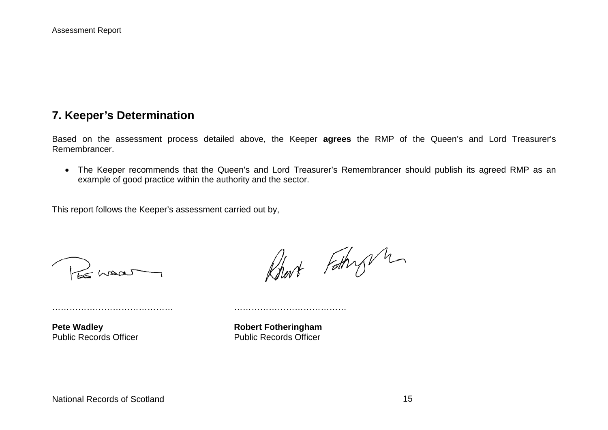## **7. Keeper's Determination**

Based on the assessment process detailed above, the Keeper **agrees** the RMP of the Queen's and Lord Treasurer's Remembrancer.

• The Keeper recommends that the Queen's and Lord Treasurer's Remembrancer should publish its agreed RMP as an example of good practice within the authority and the sector.

This report follows the Keeper's assessment carried out by,

…………………………………… …………………………………

 $\gtrsim$  homas

Robert Fathry m

**Pete Wadley**<br> **Public Records Officer**<br> **Robert Fotheringham**<br> **Rublic Records Officer Public Records Officer**